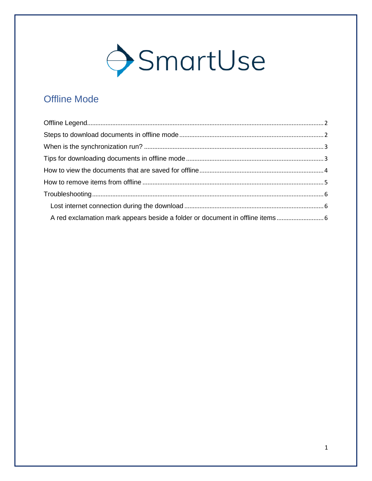

# **Offline Mode**

| A red exclamation mark appears beside a folder or document in offline items |  |
|-----------------------------------------------------------------------------|--|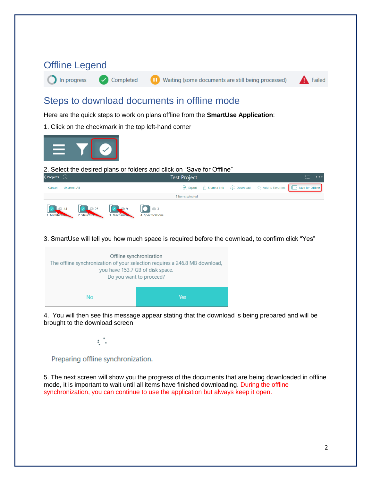<span id="page-1-1"></span><span id="page-1-0"></span>

#### Preparing offline synchronization.

5. The next screen will show you the progress of the documents that are being downloaded in offline mode, it is important to wait until all items have finished downloading. During the offline synchronization, you can continue to use the application but always keep it open.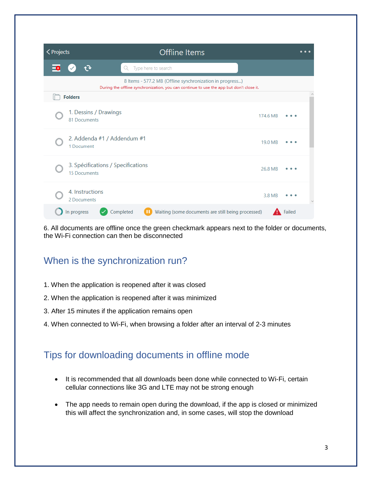| <projects< th=""><th><b>Offline Items</b></th><th></th><th></th><th>. .</th></projects<> | <b>Offline Items</b>                                                                                                                                |          |        | . . |
|------------------------------------------------------------------------------------------|-----------------------------------------------------------------------------------------------------------------------------------------------------|----------|--------|-----|
| $\overline{\phantom{a}}$                                                                 | Type here to search<br>Q                                                                                                                            |          |        |     |
|                                                                                          | 8 Items - 577.2 MB (Offline synchronization in progress)<br>During the offline synchronization, you can continue to use the app but don't close it. |          |        |     |
|                                                                                          | <b>Folders</b>                                                                                                                                      |          |        |     |
|                                                                                          | 1. Dessins / Drawings<br>81 Documents                                                                                                               | 174.6 MB |        |     |
|                                                                                          | 2. Addenda #1 / Addendum #1<br>1 Document                                                                                                           | 19.0 MB  |        |     |
|                                                                                          | 3. Spécifications / Specifications<br><b>15 Documents</b>                                                                                           | 26.8 MB  |        |     |
|                                                                                          | 4. Instructions<br>2 Documents                                                                                                                      | 3.8 MB   |        |     |
|                                                                                          | Completed<br>Waiting (some documents are still being processed)<br>In progress                                                                      |          | Failed |     |

6. All documents are offline once the green checkmark appears next to the folder or documents, the Wi-Fi connection can then be disconnected

## <span id="page-2-0"></span>When is the synchronization run?

- 1. When the application is reopened after it was closed
- 2. When the application is reopened after it was minimized
- 3. After 15 minutes if the application remains open
- 4. When connected to Wi-Fi, when browsing a folder after an interval of 2-3 minutes

### <span id="page-2-1"></span>Tips for downloading documents in offline mode

- It is recommended that all downloads been done while connected to Wi-Fi, certain cellular connections like 3G and LTE may not be strong enough
- The app needs to remain open during the download, if the app is closed or minimized this will affect the synchronization and, in some cases, will stop the download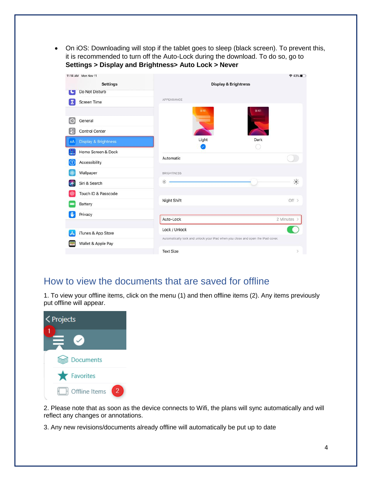• On iOS: Downloading will stop if the tablet goes to sleep (black screen). To prevent this, it is recommended to turn off the Auto-Lock during the download. To do so, go to **Settings > Display and Brightness> Auto Lock > Never**

| 11:14 AM Mon Nov 11        |                                 |                                                                                 |                                 | $943\%$              |
|----------------------------|---------------------------------|---------------------------------------------------------------------------------|---------------------------------|----------------------|
|                            | <b>Settings</b>                 |                                                                                 | <b>Display &amp; Brightness</b> |                      |
|                            | Do Not Disturb                  |                                                                                 |                                 |                      |
| Х                          | <b>Screen Time</b>              | APPEARANCE                                                                      |                                 |                      |
|                            |                                 | 9:41                                                                            | 9:41                            |                      |
| $\circ$                    | General                         |                                                                                 |                                 |                      |
| 8                          | <b>Control Center</b>           |                                                                                 |                                 |                      |
| AA                         | <b>Display &amp; Brightness</b> | Light                                                                           | Dark                            |                      |
| A.                         | Home Screen & Dock              |                                                                                 |                                 |                      |
| $\left( \mathbf{f}\right)$ | Accessibility                   | Automatic                                                                       |                                 |                      |
|                            | Wallpaper                       | <b>BRIGHTNESS</b>                                                               |                                 |                      |
|                            | Siri & Search                   | $\frac{1}{2}$                                                                   |                                 | $\frac{1}{\sqrt{2}}$ |
|                            | Touch ID & Passcode             |                                                                                 |                                 |                      |
| Battery                    |                                 | Night Shift                                                                     |                                 | Off $>$              |
| Privacy                    |                                 |                                                                                 |                                 |                      |
|                            |                                 | Auto-Lock                                                                       |                                 | 2 Minutes 2          |
| A                          | iTunes & App Store              | Lock / Unlock                                                                   |                                 |                      |
|                            | Wallet & Apple Pay              | Automatically lock and unlock your iPad when you close and open the iPad cover. |                                 |                      |
|                            |                                 | <b>Text Size</b>                                                                |                                 | S.                   |

### <span id="page-3-0"></span>How to view the documents that are saved for offline

1. To view your offline items, click on the menu (1) and then offline items (2). Any items previously put offline will appear.

| < Projects |               |   |
|------------|---------------|---|
|            |               |   |
|            | Documents     |   |
|            | Favorites     |   |
| Ы          | Offline Items | 2 |

2. Please note that as soon as the device connects to Wifi, the plans will sync automatically and will reflect any changes or annotations.

3. Any new revisions/documents already offline will automatically be put up to date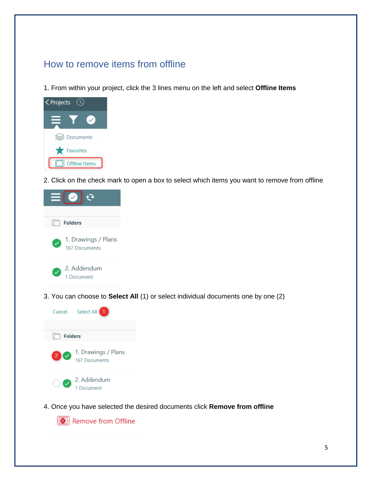# <span id="page-4-0"></span>How to remove items from offline

1. From within your project, click the 3 lines menu on the left and select **Offline Items**



2. Click on the check mark to open a box to select which items you want to remove from offline



3. You can choose to **Select All** (1) or select individual documents one by one (2)



4. Once you have selected the desired documents click **Remove from offline**